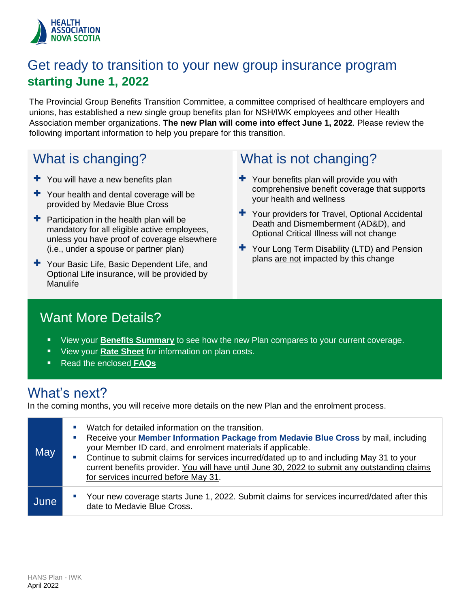

### Get ready to transition to your new group insurance program **starting June 1, 2022**

The Provincial Group Benefits Transition Committee, a committee comprised of healthcare employers and unions, has established a new single group benefits plan for NSH/IWK employees and other Health Association member organizations. **The new Plan will come into effect June 1, 2022**. Please review the following important information to help you prepare for this transition.

### What is changing?

- $+$  You will have a new benefits plan
- + Your health and dental coverage will be provided by Medavie Blue Cross
- $\pm$  Participation in the health plan will be mandatory for all eligible active employees, unless you have proof of coverage elsewhere (i.e., under a spouse or partner plan)
- + Your Basic Life, Basic Dependent Life, and Optional Life insurance, will be provided by Manulife

### What is not changing?

- $+$  Your benefits plan will provide you with comprehensive benefit coverage that supports your health and wellness
- + Your providers for Travel, Optional Accidental Death and Dismemberment (AD&D), and Optional Critical Illness will not change
- + Your Long Term Disability (LTD) and Pension plans are not impacted by this change

### Want More Details?

- View your **B[enefits Summa](#page-2-0)ry** to see how the new Plan compares to your current coverage.
- View your **[Rate Sheet](#page-8-0)** for information on plan costs.
- Read the enclosed **[FAQs](#page-1-0)**

### What's next?

In the coming months, you will receive more details on the new Plan and the enrolment process.

| May  | Watch for detailed information on the transition.<br>ш<br>Receive your Member Information Package from Medavie Blue Cross by mail, including<br>ш<br>your Member ID card, and enrolment materials if applicable.<br>Continue to submit claims for services incurred/dated up to and including May 31 to your<br><b>I</b><br>current benefits provider. You will have until June 30, 2022 to submit any outstanding claims<br>for services incurred before May 31. |
|------|-------------------------------------------------------------------------------------------------------------------------------------------------------------------------------------------------------------------------------------------------------------------------------------------------------------------------------------------------------------------------------------------------------------------------------------------------------------------|
| June | Your new coverage starts June 1, 2022. Submit claims for services incurred/dated after this<br>$\blacksquare$<br>date to Medavie Blue Cross.                                                                                                                                                                                                                                                                                                                      |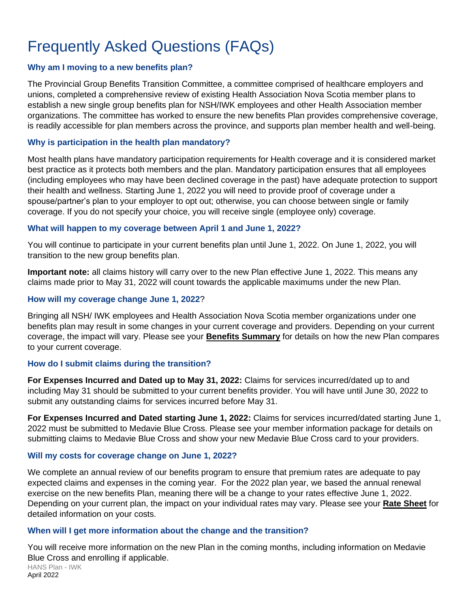## <span id="page-1-0"></span>Frequently Asked Questions (FAQs)

#### **Why am I moving to a new benefits plan?**

The Provincial Group Benefits Transition Committee, a committee comprised of healthcare employers and unions, completed a comprehensive review of existing Health Association Nova Scotia member plans to establish a new single group benefits plan for NSH/IWK employees and other Health Association member organizations. The committee has worked to ensure the new benefits Plan provides comprehensive coverage, is readily accessible for plan members across the province, and supports plan member health and well-being.

#### **Why is participation in the health plan mandatory?**

Most health plans have mandatory participation requirements for Health coverage and it is considered market best practice as it protects both members and the plan. Mandatory participation ensures that all employees (including employees who may have been declined coverage in the past) have adequate protection to support their health and wellness. Starting June 1, 2022 you will need to provide proof of coverage under a spouse/partner's plan to your employer to opt out; otherwise, you can choose between single or family coverage. If you do not specify your choice, you will receive single (employee only) coverage.

#### **What will happen to my coverage between April 1 and June 1, 2022?**

You will continue to participate in your current benefits plan until June 1, 2022. On June 1, 2022, you will transition to the new group benefits plan.

**Important note:** all claims history will carry over to the new Plan effective June 1, 2022. This means any claims made prior to May 31, 2022 will count towards the applicable maximums under the new Plan.

#### **How will my coverage change June 1, 2022**?

Bringing all NSH/ IWK employees and Health Association Nova Scotia member organizations under one benefits plan may result in some changes in your current coverage and providers. Depending on your current coverage, the impact will vary. Please see your **B[enefits Summa](#page-2-0)ry** for details on how the new Plan compares to your current coverage.

#### **How do I submit claims during the transition?**

**For Expenses Incurred and Dated up to May 31, 2022:** Claims for services incurred/dated up to and including May 31 should be submitted to your current benefits provider. You will have until June 30, 2022 to submit any outstanding claims for services incurred before May 31.

**For Expenses Incurred and Dated starting June 1, 2022:** Claims for services incurred/dated starting June 1, 2022 must be submitted to Medavie Blue Cross. Please see your member information package for details on submitting claims to Medavie Blue Cross and show your new Medavie Blue Cross card to your providers.

#### **Will my costs for coverage change on June 1, 2022?**

We complete an annual review of our benefits program to ensure that premium rates are adequate to pay expected claims and expenses in the coming year. For the 2022 plan year, we based the annual renewal exercise on the new benefits Plan, meaning there will be a change to your rates effective June 1, 2022. Depending on your current plan, the impact on your individual rates may vary. Please see your **[Rate Sheet](#page-8-0)** for detailed information on your costs.

#### **When will I get more information about the change and the transition?**

HANS Plan - IWK April 2022 You will receive more information on the new Plan in the coming months, including information on Medavie Blue Cross and enrolling if applicable.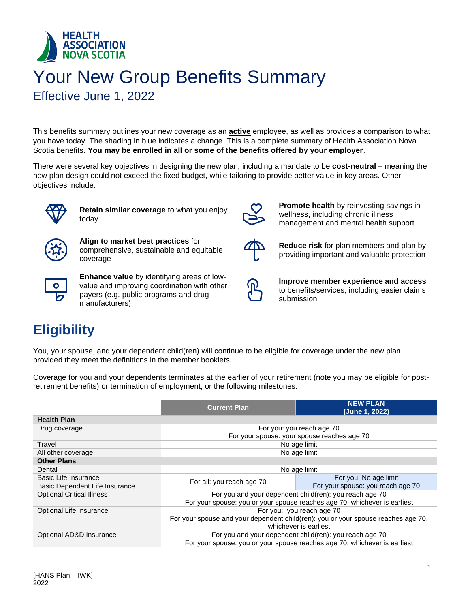<span id="page-2-0"></span>

# Your New Group Benefits Summary

Effective June 1, 2022

This benefits summary outlines your new coverage as an **active** employee, as well as provides a comparison to what you have today. The shading in blue indicates a change. This is a complete summary of Health Association Nova Scotia benefits. **You may be enrolled in all or some of the benefits offered by your employer**.

There were several key objectives in designing the new plan, including a mandate to be **cost-neutral** – meaning the new plan design could not exceed the fixed budget, while tailoring to provide better value in key areas. Other objectives include:



**Retain similar coverage** to what you enjoy today



**Align to market best practices** for comprehensive, sustainable and equitable coverage



**Enhance value** by identifying areas of lowvalue and improving coordination with other payers (e.g. public programs and drug manufacturers)



**Promote health** by reinvesting savings in wellness, including chronic illness management and mental health support



**Reduce risk** for plan members and plan by providing important and valuable protection



**Improve member experience and access** to benefits/services, including easier claims submission

### **Eligibility**

You, your spouse, and your dependent child(ren) will continue to be eligible for coverage under the new plan provided they meet the definitions in the member booklets.

Coverage for you and your dependents terminates at the earlier of your retirement (note you may be eligible for postretirement benefits) or termination of employment, or the following milestones:

|                                  | <b>NEW PLAN</b><br><b>Current Plan</b><br>(June 1, 2022)                          |                                                         |  |
|----------------------------------|-----------------------------------------------------------------------------------|---------------------------------------------------------|--|
| <b>Health Plan</b>               |                                                                                   |                                                         |  |
| Drug coverage                    | For you: you reach age 70                                                         |                                                         |  |
|                                  | For your spouse: your spouse reaches age 70                                       |                                                         |  |
| Travel                           |                                                                                   | No age limit                                            |  |
| All other coverage               |                                                                                   | No age limit                                            |  |
| <b>Other Plans</b>               |                                                                                   |                                                         |  |
| Dental                           | No age limit                                                                      |                                                         |  |
| Basic Life Insurance             |                                                                                   | For you: No age limit                                   |  |
| Basic Dependent Life Insurance   | For all: you reach age 70                                                         | For your spouse: you reach age 70                       |  |
| <b>Optional Critical Illness</b> |                                                                                   | For you and your dependent child(ren): you reach age 70 |  |
|                                  | For your spouse: you or your spouse reaches age 70, whichever is earliest         |                                                         |  |
| Optional Life Insurance          | For you: you reach age 70                                                         |                                                         |  |
|                                  | For your spouse and your dependent child(ren): you or your spouse reaches age 70, |                                                         |  |
| whichever is earliest            |                                                                                   |                                                         |  |
| Optional AD&D Insurance          | For you and your dependent child(ren): you reach age 70                           |                                                         |  |
|                                  | For your spouse: you or your spouse reaches age 70, whichever is earliest         |                                                         |  |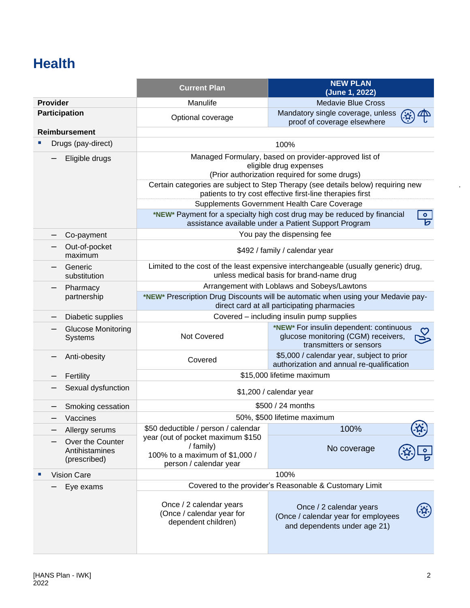### **Health**

|                                                    | <b>Current Plan</b>                                                                                                              | <b>NEW PLAN</b><br>(June 1, 2022)                                                                                                                  |  |
|----------------------------------------------------|----------------------------------------------------------------------------------------------------------------------------------|----------------------------------------------------------------------------------------------------------------------------------------------------|--|
| <b>Provider</b>                                    | Manulife                                                                                                                         | <b>Medavie Blue Cross</b>                                                                                                                          |  |
| Participation                                      | Optional coverage                                                                                                                | Mandatory single coverage, unless<br>proof of coverage elsewhere                                                                                   |  |
| <b>Reimbursement</b>                               |                                                                                                                                  |                                                                                                                                                    |  |
| Drugs (pay-direct)                                 |                                                                                                                                  | 100%                                                                                                                                               |  |
| Eligible drugs                                     | Managed Formulary, based on provider-approved list of<br>eligible drug expenses<br>(Prior authorization required for some drugs) |                                                                                                                                                    |  |
|                                                    |                                                                                                                                  | Certain categories are subject to Step Therapy (see details below) requiring new<br>patients to try cost effective first-line therapies first      |  |
|                                                    |                                                                                                                                  | Supplements Government Health Care Coverage                                                                                                        |  |
|                                                    |                                                                                                                                  | *NEW* Payment for a specialty high cost drug may be reduced by financial<br>$\bullet$<br>চ<br>assistance available under a Patient Support Program |  |
| Co-payment                                         |                                                                                                                                  | You pay the dispensing fee                                                                                                                         |  |
| Out-of-pocket<br>maximum                           |                                                                                                                                  | \$492 / family / calendar year                                                                                                                     |  |
| Generic<br>substitution                            |                                                                                                                                  | Limited to the cost of the least expensive interchangeable (usually generic) drug,<br>unless medical basis for brand-name drug                     |  |
| Pharmacy                                           | Arrangement with Loblaws and Sobeys/Lawtons                                                                                      |                                                                                                                                                    |  |
| partnership                                        | *NEW* Prescription Drug Discounts will be automatic when using your Medavie pay-<br>direct card at all participating pharmacies  |                                                                                                                                                    |  |
| Diabetic supplies                                  | Covered - including insulin pump supplies                                                                                        |                                                                                                                                                    |  |
| <b>Glucose Monitoring</b><br>Systems               | *NEW* For insulin dependent: continuous<br>Not Covered<br>glucose monitoring (CGM) receivers,<br>transmitters or sensors         |                                                                                                                                                    |  |
| Anti-obesity                                       | \$5,000 / calendar year, subject to prior<br>Covered<br>authorization and annual re-qualification                                |                                                                                                                                                    |  |
| Fertility                                          | \$15,000 lifetime maximum                                                                                                        |                                                                                                                                                    |  |
| Sexual dysfunction                                 |                                                                                                                                  | \$1,200 / calendar year                                                                                                                            |  |
| Smoking cessation                                  |                                                                                                                                  | \$500 / 24 months                                                                                                                                  |  |
| Vaccines                                           |                                                                                                                                  | 50%, \$500 lifetime maximum                                                                                                                        |  |
| Allergy serums                                     | \$50 deductible / person / calendar                                                                                              | 100%                                                                                                                                               |  |
| Over the Counter<br>Antihistamines<br>(prescribed) | year (out of pocket maximum \$150<br>/ family)<br>100% to a maximum of \$1,000 /<br>person / calendar year                       | No coverage                                                                                                                                        |  |
| <b>Vision Care</b>                                 |                                                                                                                                  | 100%                                                                                                                                               |  |
| Eye exams                                          | Covered to the provider's Reasonable & Customary Limit                                                                           |                                                                                                                                                    |  |
|                                                    | Once / 2 calendar years<br>(Once / calendar year for<br>dependent children)                                                      | Once / 2 calendar years<br>(Once / calendar year for employees<br>and dependents under age 21)                                                     |  |

.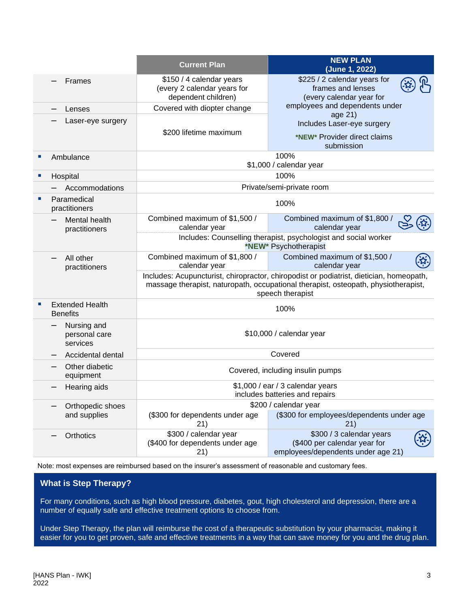|                             |                                           | <b>Current Plan</b>                                                                                                                                                                               | <b>NEW PLAN</b><br>(June 1, 2022)                                                              |  |
|-----------------------------|-------------------------------------------|---------------------------------------------------------------------------------------------------------------------------------------------------------------------------------------------------|------------------------------------------------------------------------------------------------|--|
|                             | Frames                                    | \$150 / 4 calendar years<br>(every 2 calendar years for<br>dependent children)                                                                                                                    | \$225 / 2 calendar years for<br>frames and lenses<br>(every calendar year for                  |  |
|                             | Lenses                                    | Covered with diopter change                                                                                                                                                                       | employees and dependents under                                                                 |  |
|                             | Laser-eye surgery                         | \$200 lifetime maximum                                                                                                                                                                            | age 21)<br>Includes Laser-eye surgery<br>*NEW* Provider direct claims<br>submission            |  |
| $\mathcal{L}_{\mathcal{A}}$ | Ambulance                                 |                                                                                                                                                                                                   | 100%<br>\$1,000 / calendar year                                                                |  |
| ш                           | Hospital                                  |                                                                                                                                                                                                   | 100%                                                                                           |  |
|                             | Accommodations                            |                                                                                                                                                                                                   | Private/semi-private room                                                                      |  |
|                             | Paramedical<br>practitioners              | 100%                                                                                                                                                                                              |                                                                                                |  |
|                             | Mental health<br>practitioners            | Combined maximum of \$1,500 /<br>calendar year                                                                                                                                                    | Combined maximum of \$1,800 /<br>calendar year                                                 |  |
|                             |                                           | Includes: Counselling therapist, psychologist and social worker<br>*NEW* Psychotherapist                                                                                                          |                                                                                                |  |
|                             | All other<br>practitioners                | Combined maximum of \$1,800 /<br>calendar year                                                                                                                                                    | Combined maximum of \$1,500 /<br>calendar year                                                 |  |
|                             |                                           | Includes: Acupuncturist, chiropractor, chiropodist or podiatrist, dietician, homeopath,<br>massage therapist, naturopath, occupational therapist, osteopath, physiotherapist,<br>speech therapist |                                                                                                |  |
| п                           | <b>Extended Health</b><br><b>Benefits</b> | 100%                                                                                                                                                                                              |                                                                                                |  |
|                             | Nursing and<br>personal care<br>services  | \$10,000 / calendar year                                                                                                                                                                          |                                                                                                |  |
|                             | Accidental dental                         | Covered                                                                                                                                                                                           |                                                                                                |  |
|                             | Other diabetic<br>equipment               | Covered, including insulin pumps                                                                                                                                                                  |                                                                                                |  |
|                             | Hearing aids                              | \$1,000 / ear / 3 calendar years<br>includes batteries and repairs                                                                                                                                |                                                                                                |  |
|                             | Orthopedic shoes                          | \$200 / calendar year                                                                                                                                                                             |                                                                                                |  |
|                             | and supplies                              | (\$300 for dependents under age<br>21)                                                                                                                                                            | (\$300 for employees/dependents under age<br>21)                                               |  |
|                             | Orthotics                                 | \$300 / calendar year<br>(\$400 for dependents under age<br>21)                                                                                                                                   | \$300 / 3 calendar years<br>(\$400 per calendar year for<br>employees/dependents under age 21) |  |

Note: most expenses are reimbursed based on the insurer's assessment of reasonable and customary fees.

#### **What is Step Therapy?**

For many conditions, such as high blood pressure, diabetes, gout, high cholesterol and depression, there are a number of equally safe and effective treatment options to choose from.

Under Step Therapy, the plan will reimburse the cost of a therapeutic substitution by your pharmacist, making it easier for you to get proven, safe and effective treatments in a way that can save money for you and the drug plan.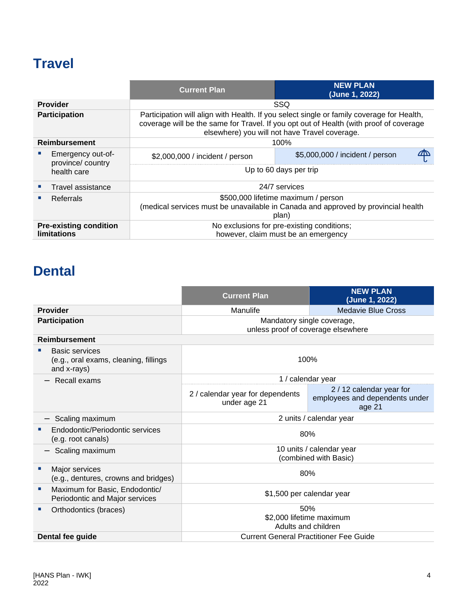### **Travel**

|                                                     |                                       | <b>Current Plan</b>                                                                                                                                                                                                                  | <b>NEW PLAN</b><br>(June 1, 2022) |  |
|-----------------------------------------------------|---------------------------------------|--------------------------------------------------------------------------------------------------------------------------------------------------------------------------------------------------------------------------------------|-----------------------------------|--|
| <b>Provider</b>                                     |                                       | SSQ                                                                                                                                                                                                                                  |                                   |  |
| <b>Participation</b>                                |                                       | Participation will align with Health. If you select single or family coverage for Health,<br>coverage will be the same for Travel. If you opt out of Health (with proof of coverage<br>elsewhere) you will not have Travel coverage. |                                   |  |
| <b>Reimbursement</b>                                |                                       | 100%                                                                                                                                                                                                                                 |                                   |  |
|                                                     | Emergency out-of-<br>province/country | \$2,000,000 / incident / person                                                                                                                                                                                                      | \$5,000,000 / incident / person   |  |
|                                                     | health care                           | Up to 60 days per trip                                                                                                                                                                                                               |                                   |  |
|                                                     | Travel assistance                     | 24/7 services                                                                                                                                                                                                                        |                                   |  |
|                                                     | Referrals                             | \$500,000 lifetime maximum / person                                                                                                                                                                                                  |                                   |  |
|                                                     |                                       | (medical services must be unavailable in Canada and approved by provincial health<br>plan)                                                                                                                                           |                                   |  |
| <b>Pre-existing condition</b><br><b>limitations</b> |                                       | No exclusions for pre-existing conditions;<br>however, claim must be an emergency                                                                                                                                                    |                                   |  |

### **Dental**

|                                                                               | <b>Current Plan</b>                                              | <b>NEW PLAN</b><br>(June 1, 2022)                                    |  |
|-------------------------------------------------------------------------------|------------------------------------------------------------------|----------------------------------------------------------------------|--|
| <b>Provider</b>                                                               | Manulife                                                         | Medavie Blue Cross                                                   |  |
| <b>Participation</b>                                                          | Mandatory single coverage,<br>unless proof of coverage elsewhere |                                                                      |  |
| <b>Reimbursement</b>                                                          |                                                                  |                                                                      |  |
| <b>Basic services</b><br>(e.g., oral exams, cleaning, fillings<br>and x-rays) | 100%                                                             |                                                                      |  |
| Recall exams                                                                  | 1 / calendar year                                                |                                                                      |  |
|                                                                               | 2 / calendar year for dependents<br>under age 21                 | 2 / 12 calendar year for<br>employees and dependents under<br>age 21 |  |
| Scaling maximum                                                               | 2 units / calendar year                                          |                                                                      |  |
| Endodontic/Periodontic services<br>(e.g. root canals)                         | 80%                                                              |                                                                      |  |
| Scaling maximum                                                               |                                                                  | 10 units / calendar year<br>(combined with Basic)                    |  |
| Major services<br>(e.g., dentures, crowns and bridges)                        | 80%                                                              |                                                                      |  |
| Maximum for Basic, Endodontic/<br>ш<br>Periodontic and Major services         | \$1,500 per calendar year                                        |                                                                      |  |
| Orthodontics (braces)                                                         | 50%<br>\$2,000 lifetime maximum<br>Adults and children           |                                                                      |  |
| Dental fee guide                                                              | <b>Current General Practitioner Fee Guide</b>                    |                                                                      |  |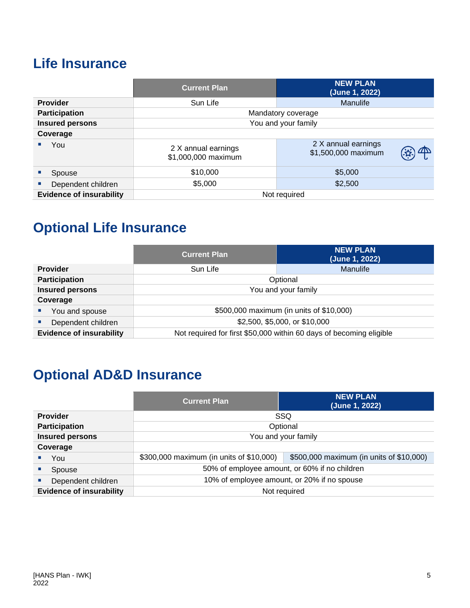### **Life Insurance**

|                                 | <b>NEW PLAN</b><br><b>Current Plan</b><br>(June 1, 2022) |                                            |  |
|---------------------------------|----------------------------------------------------------|--------------------------------------------|--|
| <b>Provider</b>                 | Sun Life                                                 | <b>Manulife</b>                            |  |
| <b>Participation</b>            | Mandatory coverage                                       |                                            |  |
| <b>Insured persons</b>          | You and your family                                      |                                            |  |
| Coverage                        |                                                          |                                            |  |
| You                             | 2 X annual earnings<br>\$1,000,000 maximum               | 2 X annual earnings<br>\$1,500,000 maximum |  |
| <b>Spouse</b>                   | \$5,000<br>\$10,000                                      |                                            |  |
| Dependent children              | \$5,000                                                  | \$2,500                                    |  |
| <b>Evidence of insurability</b> |                                                          | Not required                               |  |

### **Optional Life Insurance**

|                                 | <b>Current Plan</b>                                                 | <b>NEW PLAN</b><br>(June 1, 2022) |
|---------------------------------|---------------------------------------------------------------------|-----------------------------------|
| <b>Provider</b>                 | Sun Life                                                            | <b>Manulife</b>                   |
| <b>Participation</b>            | Optional                                                            |                                   |
| <b>Insured persons</b>          | You and your family                                                 |                                   |
| Coverage                        |                                                                     |                                   |
| You and spouse                  | \$500,000 maximum (in units of \$10,000)                            |                                   |
| Dependent children              | \$2,500, \$5,000, or \$10,000                                       |                                   |
| <b>Evidence of insurability</b> | Not required for first \$50,000 within 60 days of becoming eligible |                                   |

### **Optional AD&D Insurance**

|                                 | <b>Current Plan</b>                                                                  | <b>NEW PLAN</b><br>(June 1, 2022) |  |
|---------------------------------|--------------------------------------------------------------------------------------|-----------------------------------|--|
| <b>Provider</b>                 | SSQ                                                                                  |                                   |  |
| <b>Participation</b>            | Optional                                                                             |                                   |  |
| <b>Insured persons</b>          | You and your family                                                                  |                                   |  |
| Coverage                        |                                                                                      |                                   |  |
| You                             | \$300,000 maximum (in units of \$10,000)<br>\$500,000 maximum (in units of \$10,000) |                                   |  |
| Spouse                          | 50% of employee amount, or 60% if no children                                        |                                   |  |
| Dependent children              | 10% of employee amount, or 20% if no spouse                                          |                                   |  |
| <b>Evidence of insurability</b> | Not required                                                                         |                                   |  |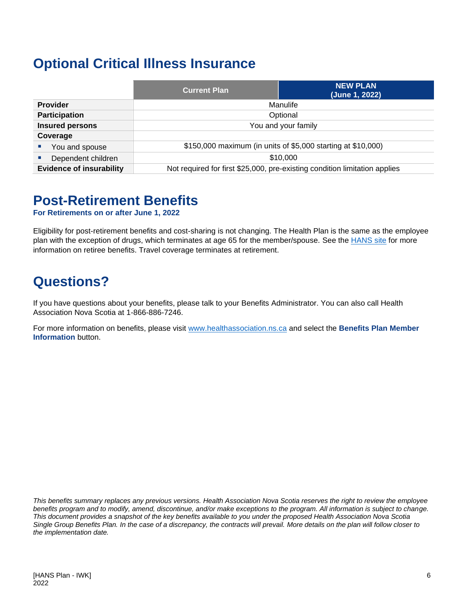### **Optional Critical Illness Insurance**

|                                 | <b>Current Plan</b>                                                        | <b>NEW PLAN</b><br>(June 1, 2022) |
|---------------------------------|----------------------------------------------------------------------------|-----------------------------------|
| <b>Provider</b>                 | Manulife                                                                   |                                   |
| <b>Participation</b>            | Optional                                                                   |                                   |
| <b>Insured persons</b>          | You and your family                                                        |                                   |
| Coverage                        |                                                                            |                                   |
| You and spouse                  | \$150,000 maximum (in units of \$5,000 starting at \$10,000)               |                                   |
| Dependent children              | \$10,000                                                                   |                                   |
| <b>Evidence of insurability</b> | Not required for first \$25,000, pre-existing condition limitation applies |                                   |

#### **Post-Retirement Benefits**

**For Retirements on or after June 1, 2022**

Eligibility for post-retirement benefits and cost-sharing is not changing. The Health Plan is the same as the employee plan with the exception of drugs, which terminates at age 65 for the member/spouse. See the **HANS** site for more information on retiree benefits. Travel coverage terminates at retirement.

### **Questions?**

If you have questions about your benefits, please talk to your Benefits Administrator. You can also call Health Association Nova Scotia at 1-866-886-7246.

For more information on benefits, please visit [www.healthassociation.ns.ca](http://www.healthassociation.ns.ca/) and select the **Benefits Plan Member Information** button.

*This benefits summary replaces any previous versions. Health Association Nova Scotia reserves the right to review the employee benefits program and to modify, amend, discontinue, and/or make exceptions to the program. All information is subject to change. This document provides a snapshot of the key benefits available to you under the proposed Health Association Nova Scotia Single Group Benefits Plan. In the case of a discrepancy, the contracts will prevail. More details on the plan will follow closer to the implementation date.*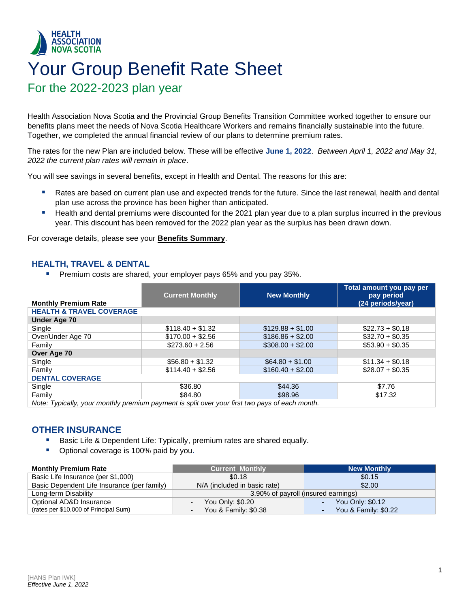### <span id="page-8-0"></span>**HEALTH ASSOCIATION<br>NOVA SCOTIA** Your Group Benefit Rate Sheet For the 2022-2023 plan year

Health Association Nova Scotia and the Provincial Group Benefits Transition Committee worked together to ensure our benefits plans meet the needs of Nova Scotia Healthcare Workers and remains financially sustainable into the future. Together, we completed the annual financial review of our plans to determine premium rates.

The rates for the new Plan are included below. These will be effective **June 1, 2022**. *Between April 1, 2022 and May 31, 2022 the current plan rates will remain in place*.

You will see savings in several benefits, except in Health and Dental. The reasons for this are:

- Rates are based on current plan use and expected trends for the future. Since the last renewal, health and dental plan use across the province has been higher than anticipated.
- Health and dental premiums were discounted for the 2021 plan year due to a plan surplus incurred in the previous year. This discount has been removed for the 2022 plan year as the surplus has been drawn down.

For coverage details, please see your **[Benefits Summ](#page-2-0)ary**.

#### **HEALTH, TRAVEL & DENTAL**

Premium costs are shared, your employer pays 65% and you pay 35%.

|                                                                                                | <b>Current Monthly</b> | <b>New Monthly</b> | Total amount you pay per<br>pay period |
|------------------------------------------------------------------------------------------------|------------------------|--------------------|----------------------------------------|
| <b>Monthly Premium Rate</b>                                                                    |                        |                    | (24 periods/year)                      |
| <b>HEALTH &amp; TRAVEL COVERAGE</b>                                                            |                        |                    |                                        |
| <b>Under Age 70</b>                                                                            |                        |                    |                                        |
| Single                                                                                         | $$118.40 + $1.32$      | $$129.88 + $1.00$  | $$22.73 + $0.18$                       |
| Over/Under Age 70                                                                              | $$170.00 + $2.56$      | $$186.86 + $2.00$  | $$32.70 + $0.35$                       |
| Family                                                                                         | $$273.60 + 2.56$       | $$308.00 + $2.00$  | $$53.90 + $0.35$                       |
| Over Age 70                                                                                    |                        |                    |                                        |
| Single                                                                                         | $$56.80 + $1.32$       | $$64.80 + $1.00$   | $$11.34 + $0.18$                       |
| Family                                                                                         | $$114.40 + $2.56$      | $$160.40 + $2.00$  | $$28.07 + $0.35$                       |
| <b>DENTAL COVERAGE</b>                                                                         |                        |                    |                                        |
| Single                                                                                         | \$36.80                | \$44.36            | \$7.76                                 |
| Family                                                                                         | \$84.80                | \$98.96            | \$17.32                                |
| Note: Typically, your monthly premium payment is split over your first two pays of each month. |                        |                    |                                        |

#### **OTHER INSURANCE**

- Basic Life & Dependent Life: Typically, premium rates are shared equally.
- Optional coverage is 100% paid by you.

| <b>Monthly Premium Rate</b>                 | <b>Current Monthly</b>              | <b>New Monthly</b>   |
|---------------------------------------------|-------------------------------------|----------------------|
| Basic Life Insurance (per \$1,000)          | \$0.18                              | \$0.15               |
| Basic Dependent Life Insurance (per family) | N/A (included in basic rate)        | \$2.00               |
| Long-term Disability                        | 3.90% of payroll (insured earnings) |                      |
| Optional AD&D Insurance                     | You Only: \$0.20                    | You Only: \$0.12     |
| (rates per \$10,000 of Principal Sum)       | You & Family: \$0.38                | You & Family: \$0.22 |